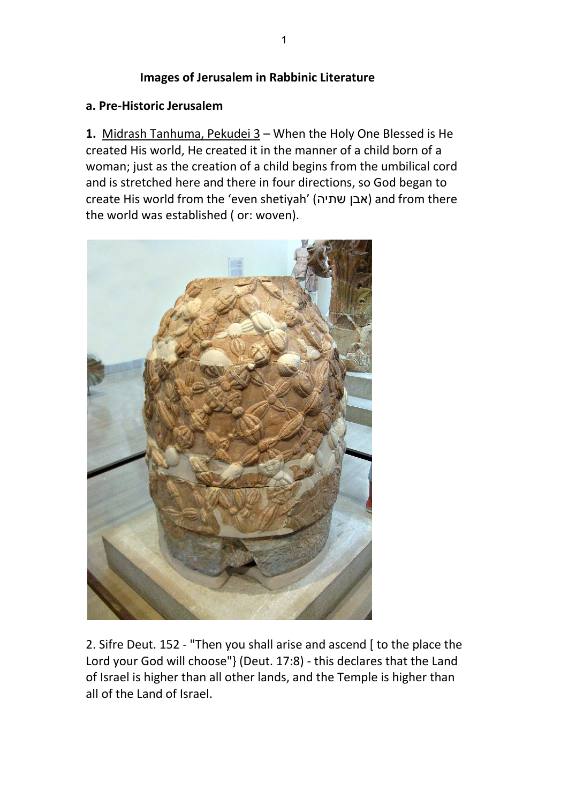#### **Images of Jerusalem in Rabbinic Literature**

#### **a. Pre-Historic Jerusalem**

**1.** Midrash Tanhuma, Pekudei 3 – When the Holy One Blessed is He created His world, He created it in the manner of a child born of a woman; just as the creation of a child begins from the umbilical cord and is stretched here and there in four directions, so God began to create His world from the 'even shetiyah' (שתיה אבן (and from there the world was established ( or: woven).



2. Sifre Deut. 152 - "Then you shall arise and ascend [ to the place the Lord your God will choose"} (Deut. 17:8) - this declares that the Land of Israel is higher than all other lands, and the Temple is higher than all of the Land of Israel.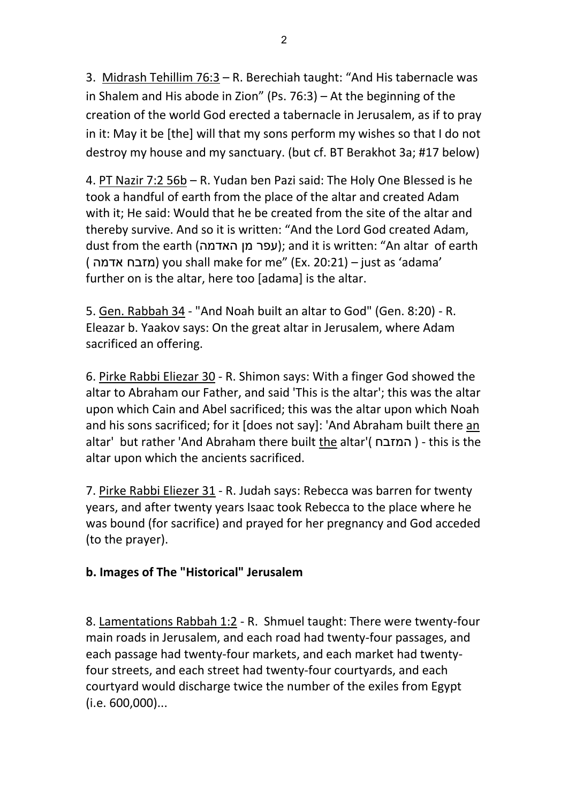3. Midrash Tehillim 76:3 – R. Berechiah taught: "And His tabernacle was in Shalem and His abode in Zion" (Ps. 76:3) – At the beginning of the creation of the world God erected a tabernacle in Jerusalem, as if to pray in it: May it be [the] will that my sons perform my wishes so that I do not destroy my house and my sanctuary. (but cf. BT Berakhot 3a; #17 below)

4. PT Nazir 7:2 56b – R. Yudan ben Pazi said: The Holy One Blessed is he took a handful of earth from the place of the altar and created Adam with it; He said: Would that he be created from the site of the altar and thereby survive. And so it is written: "And the Lord God created Adam, dust from the earth (עפר מן האדמה); and it is written: "An altar of earth ( אדמה מזבח (you shall make for me" (Ex. 20:21) – just as 'adama' further on is the altar, here too [adama] is the altar.

5. Gen. Rabbah 34 - "And Noah built an altar to God" (Gen. 8:20) - R. Eleazar b. Yaakov says: On the great altar in Jerusalem, where Adam sacrificed an offering.

6. Pirke Rabbi Eliezar 30 - R. Shimon says: With a finger God showed the altar to Abraham our Father, and said 'This is the altar'; this was the altar upon which Cain and Abel sacrificed; this was the altar upon which Noah and his sons sacrificed; for it [does not say]: 'And Abraham built there an altar' but rather 'And Abraham there built the altar'( המזבח ( - this is the altar upon which the ancients sacrificed.

7. Pirke Rabbi Eliezer 31 - R. Judah says: Rebecca was barren for twenty years, and after twenty years Isaac took Rebecca to the place where he was bound (for sacrifice) and prayed for her pregnancy and God acceded (to the prayer).

# **b. Images of The "Historical" Jerusalem**

8. Lamentations Rabbah 1:2 - R. Shmuel taught: There were twenty-four main roads in Jerusalem, and each road had twenty-four passages, and each passage had twenty-four markets, and each market had twentyfour streets, and each street had twenty-four courtyards, and each courtyard would discharge twice the number of the exiles from Egypt (i.e. 600,000)...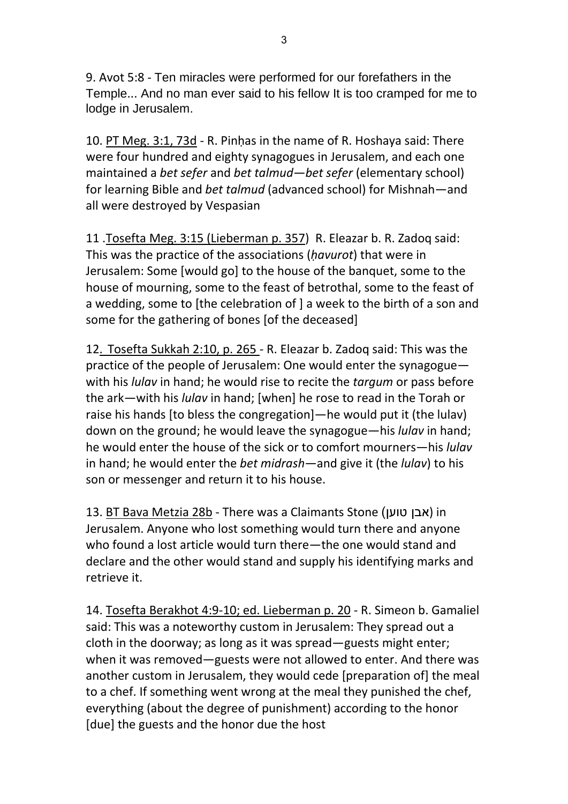9. Avot 5:8 - Ten miracles were performed for our forefathers in the Temple... And no man ever said to his fellow It is too cramped for me to lodge in Jerusalem.

10. PT Meg. 3:1, 73d - R. Pinḥas in the name of R. Hoshaya said: There were four hundred and eighty synagogues in Jerusalem, and each one maintained a *bet sefer* and *bet talmud—bet sefer* (elementary school) for learning Bible and *bet talmud* (advanced school) for Mishnah—and all were destroyed by Vespasian

11 .Tosefta Meg. 3:15 (Lieberman p. 357) R. Eleazar b. R. Zadoq said: This was the practice of the associations (*ḥavurot*) that were in Jerusalem: Some [would go] to the house of the banquet, some to the house of mourning, some to the feast of betrothal, some to the feast of a wedding, some to [the celebration of ] a week to the birth of a son and some for the gathering of bones [of the deceased]

12. Tosefta Sukkah 2:10, p. 265 - R. Eleazar b. Zadoq said: This was the practice of the people of Jerusalem: One would enter the synagogue with his *lulav* in hand; he would rise to recite the *targum* or pass before the ark—with his *lulav* in hand; [when] he rose to read in the Torah or raise his hands [to bless the congregation]—he would put it (the lulav) down on the ground; he would leave the synagogue—his *lulav* in hand; he would enter the house of the sick or to comfort mourners—his *lulav* in hand; he would enter the *bet midrash*—and give it (the *lulav*) to his son or messenger and return it to his house.

13. BT Bava Metzia 28b - There was a Claimants Stone )טוען אבן (in Jerusalem. Anyone who lost something would turn there and anyone who found a lost article would turn there—the one would stand and declare and the other would stand and supply his identifying marks and retrieve it.

14. Tosefta Berakhot 4:9-10; ed. Lieberman p. 20 - R. Simeon b. Gamaliel said: This was a noteworthy custom in Jerusalem: They spread out a cloth in the doorway; as long as it was spread—guests might enter; when it was removed—guests were not allowed to enter. And there was another custom in Jerusalem, they would cede [preparation of] the meal to a chef. If something went wrong at the meal they punished the chef, everything (about the degree of punishment) according to the honor [due] the guests and the honor due the host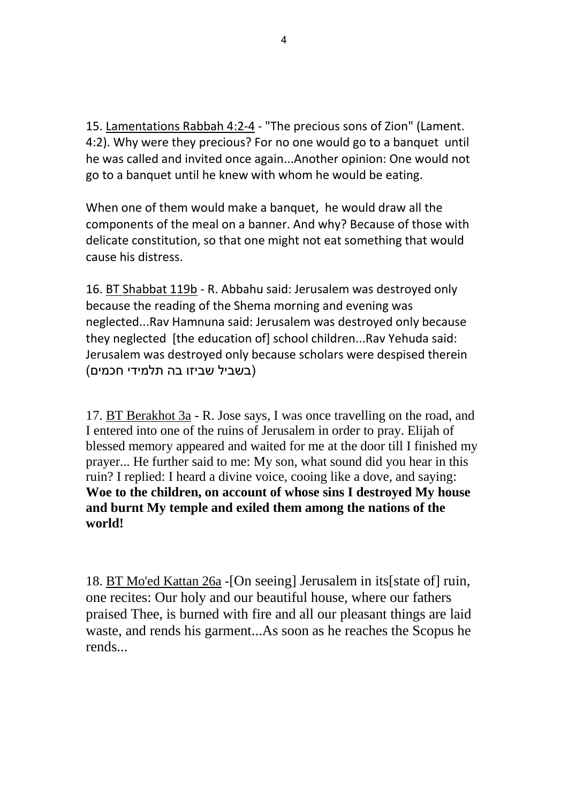15. Lamentations Rabbah 4:2-4 - "The precious sons of Zion" (Lament. 4:2). Why were they precious? For no one would go to a banquet until he was called and invited once again...Another opinion: One would not go to a banquet until he knew with whom he would be eating.

When one of them would make a banquet, he would draw all the components of the meal on a banner. And why? Because of those with delicate constitution, so that one might not eat something that would cause his distress.

16. BT Shabbat 119b - R. Abbahu said: Jerusalem was destroyed only because the reading of the Shema morning and evening was neglected...Rav Hamnuna said: Jerusalem was destroyed only because they neglected [the education of] school children...Rav Yehuda said: Jerusalem was destroyed only because scholars were despised therein )בשביל שביזו בה תלמידי חכמים(

17. BT Berakhot 3a - R. Jose says, I was once travelling on the road, and I entered into one of the ruins of Jerusalem in order to pray. Elijah of blessed memory appeared and waited for me at the door till I finished my prayer... He further said to me: My son, what sound did you hear in this ruin? I replied: I heard a divine voice, cooing like a dove, and saying: **Woe to the children, on account of whose sins I destroyed My house and burnt My temple and exiled them among the nations of the world!** 

18. BT Mo'ed Kattan 26a -[On seeing] Jerusalem in its[state of] ruin, one recites: Our holy and our beautiful house, where our fathers praised Thee, is burned with fire and all our pleasant things are laid waste, and rends his garment...As soon as he reaches the Scopus he rends...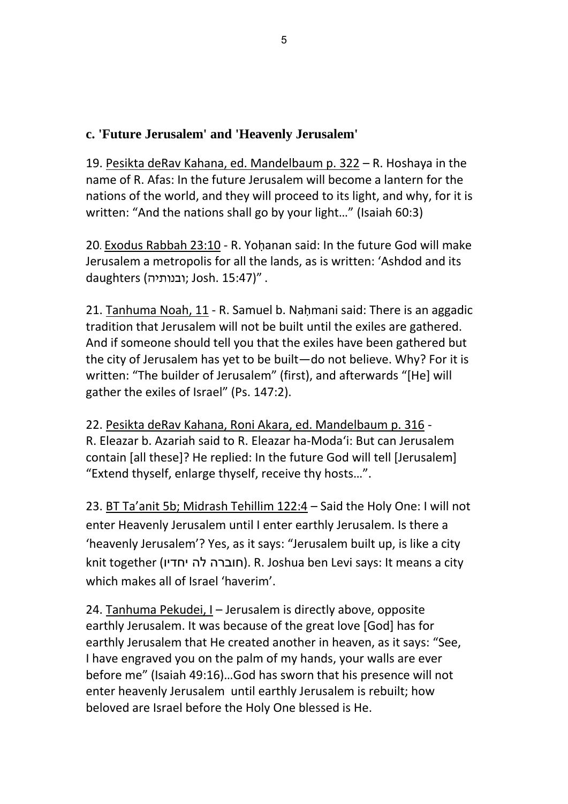# **c. 'Future Jerusalem' and 'Heavenly Jerusalem'**

19. Pesikta deRav Kahana, ed. Mandelbaum p. 322 – R. Hoshaya in the name of R. Afas: In the future Jerusalem will become a lantern for the nations of the world, and they will proceed to its light, and why, for it is written: "And the nations shall go by your light…" (Isaiah 60:3)

20. Exodus Rabbah 23:10 - R. Yoḥanan said: In the future God will make Jerusalem a metropolis for all the lands, as is written: 'Ashdod and its daughters (ובנותיה; Josh. 15:47)".

21. Tanhuma Noah, 11 - R. Samuel b. Naḥmani said: There is an aggadic tradition that Jerusalem will not be built until the exiles are gathered. And if someone should tell you that the exiles have been gathered but the city of Jerusalem has yet to be built—do not believe. Why? For it is written: "The builder of Jerusalem" (first), and afterwards "[He] will gather the exiles of Israel" (Ps. 147:2).

22. Pesikta deRav Kahana, Roni Akara, ed. Mandelbaum p. 316 - R. Eleazar b. Azariah said to R. Eleazar ha-Moda'i: But can Jerusalem contain [all these]? He replied: In the future God will tell [Jerusalem] "Extend thyself, enlarge thyself, receive thy hosts…".

23. BT Ta'anit 5b; Midrash Tehillim 122:4 – Said the Holy One: I will not enter Heavenly Jerusalem until I enter earthly Jerusalem. Is there a 'heavenly Jerusalem'? Yes, as it says: "Jerusalem built up, is like a city knit together (חוברה לה יחדיו). R. Joshua ben Levi says: It means a city which makes all of Israel 'haverim'.

24. Tanhuma Pekudei, I – Jerusalem is directly above, opposite earthly Jerusalem. It was because of the great love [God] has for earthly Jerusalem that He created another in heaven, as it says: "See, I have engraved you on the palm of my hands, your walls are ever before me" (Isaiah 49:16)…God has sworn that his presence will not enter heavenly Jerusalem until earthly Jerusalem is rebuilt; how beloved are Israel before the Holy One blessed is He.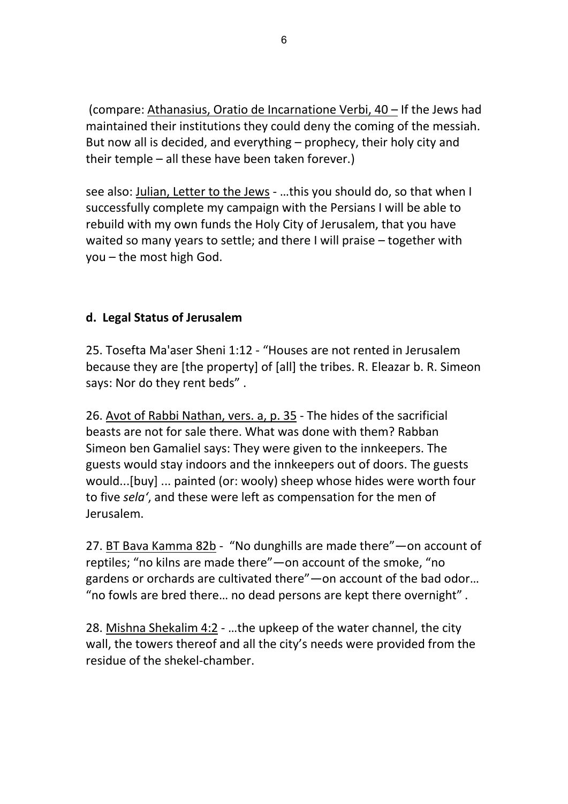(compare: Athanasius, Oratio de Incarnatione Verbi, 40 – If the Jews had maintained their institutions they could deny the coming of the messiah. But now all is decided, and everything – prophecy, their holy city and their temple – all these have been taken forever.)

see also: Julian, Letter to the Jews - …this you should do, so that when I successfully complete my campaign with the Persians I will be able to rebuild with my own funds the Holy City of Jerusalem, that you have waited so many years to settle; and there I will praise – together with you – the most high God.

# **d. Legal Status of Jerusalem**

25. Tosefta Ma'aser Sheni 1:12 - "Houses are not rented in Jerusalem because they are [the property] of [all] the tribes. R. Eleazar b. R. Simeon says: Nor do they rent beds" .

26. Avot of Rabbi Nathan, vers. a, p. 35 - The hides of the sacrificial beasts are not for sale there. What was done with them? Rabban Simeon ben Gamaliel says: They were given to the innkeepers. The guests would stay indoors and the innkeepers out of doors. The guests would...[buy] ... painted (or: wooly) sheep whose hides were worth four to five *sela'*, and these were left as compensation for the men of Jerusalem.

27. BT Bava Kamma 82b - "No dunghills are made there" — on account of reptiles; "no kilns are made there"—on account of the smoke, "no gardens or orchards are cultivated there"—on account of the bad odor… "no fowls are bred there… no dead persons are kept there overnight" .

28. Mishna Shekalim 4:2 - …the upkeep of the water channel, the city wall, the towers thereof and all the city's needs were provided from the residue of the shekel-chamber.